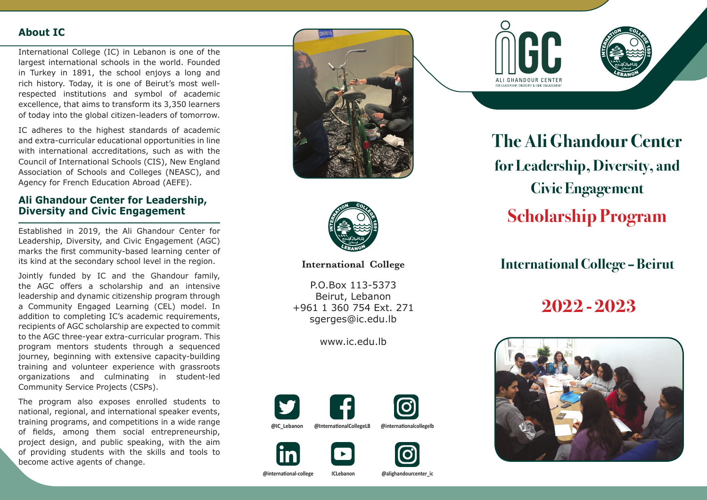## **About IC**

International College (IC) in Lebanon is one of the largest international schools in the world. Founded in Turkey in 1891, the school enjoys a long and rich history. Today, it is one of Beirut's most wellrespected institutions and symbol of academic excellence, that aims to transform its 3,350 learners of today into the global citizen-leaders of tomorrow.

IC adheres to the highest standards of academic and extra-curricular educational opportunities in line with international accreditations, such as with the Council of International Schools (CIS), New England Association of Schools and Colleges (NEASC), and Agency for French Education Abroad (AEFE).

#### **Ali Ghandour Center for Leadership, Diversity and Civic Engagement**

Established in 2019, the Ali Ghandour Center for Leadership, Diversity, and Civic Engagement (AGC) marks the first community-based learning center of its kind at the secondary school level in the region.

Jointly funded by IC and the Ghandour family, the AGC offers a scholarship and an intensive leadership and dynamic citizenship program through a Community Engaged Learning (CEL) model. In addition to completing IC's academic requirements, recipients of AGC scholarship are expected to commit to the AGC three-year extra-curricular program. This program mentors students through a sequenced journey, beginning with extensive capacity-building training and volunteer experience with grassroots organizations and culminating in student-led Community Service Projects (CSPs).

The program also exposes enrolled students to national, regional, and international speaker events, training programs, and competitions in a wide range of fields, among them social entrepreneurship, project design, and public speaking, with the aim of providing students with the skills and tools to become active agents of change.





**International College** 

P.O.Box 113-5373 Beirut, Lebanon +961 1 360 754 Ext. 271 sgerges@ic.edu.lb

www.ic.edu.lb











**The Ali Ghandour Center for Leadership, Diversity, and Civic Engagement Scholarship Program**

# **International College – Beirut**

**2022 - 2023**



**@international-college ICLebanon @alighandourcenter\_ic**